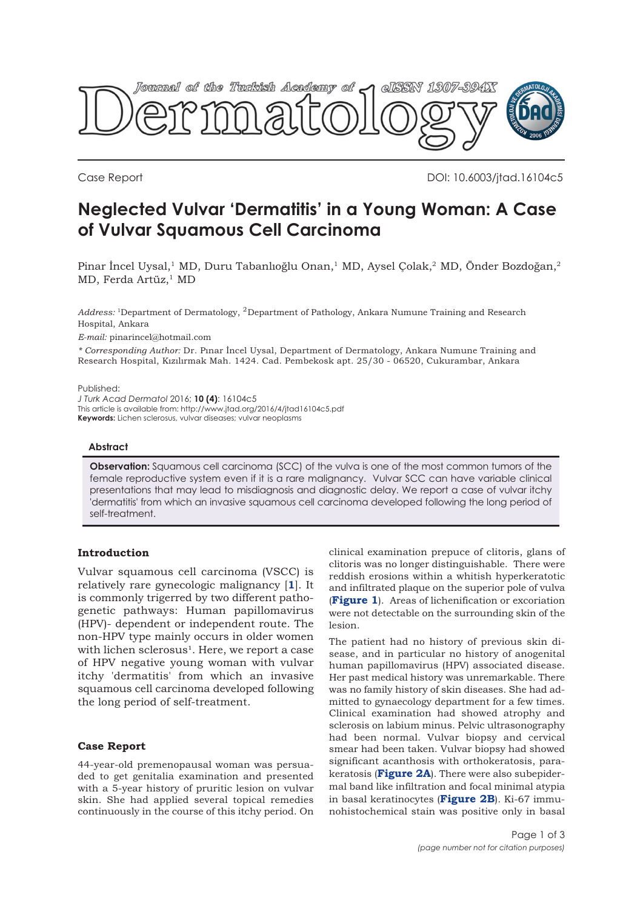

Case Report DOI: 10.6003/jtad.16104c5

# **Neglected Vulvar 'Dermatitis' in a Young Woman: A Case of Vulvar Squamous Cell Carcinoma**

Pinar İncel Uysal,<sup>1</sup> MD, Duru Tabanlıoğlu Onan,<sup>1</sup> MD, Aysel Çolak,<sup>2</sup> MD, Önder Bozdoğan,<sup>2</sup> MD, Ferda Artüz,<sup>1</sup> MD

*Address:* 1Department of Dermatology, 2Department of Pathology, Ankara Numune Training and Research Hospital, Ankara

*E-mail:* pinarincel@hotmail.com

*\* Corresponding Author:* Dr. Pınar İncel Uysal, Department of Dermatology, Ankara Numune Training and Research Hospital, Kızılırmak Mah. 1424. Cad. Pembekosk apt. 25/30 - 06520, Cukurambar, Ankara

Published:

*J Turk Acad Dermatol* 2016; **10 (4)**: 16104c5

This article is available from: http://www.jtad.org/2016/4/jtad16104c5.pdf

**Keywords:** Lichen sclerosus, vulvar diseases; vulvar neoplasms

#### **Abstract**

**Observation:** Squamous cell carcinoma (SCC) of the vulva is one of the most common tumors of the female reproductive system even if it is a rare malignancy. Vulvar SCC can have variable clinical presentations that may lead to misdiagnosis and diagnostic delay. We report a case of vulvar itchy 'dermatitis' from which an invasive squamous cell carcinoma developed following the long period of self-treatment.

# **Introduction**

Vulvar squamous cell carcinoma (VSCC) is relatively rare gynecologic malignancy [**[1](#page-2-0)**]. It is commonly trigerred by two different pathogenetic pathways: Human papillomavirus (HPV)- dependent or independent route. The non-HPV type mainly occurs in older women with lichen sclerosus<sup>1</sup>. Here, we report a case of HPV negative young woman with vulvar itchy 'dermatitis' from which an invasive squamous cell carcinoma developed following the long period of self-treatment.

#### **Case Report**

44-year-old premenopausal woman was persuaded to get genitalia examination and presented with a 5-year history of pruritic lesion on vulvar skin. She had applied several topical remedies continuously in the course of this itchy period. On clinical examination prepuce of clitoris, glans of clitoris was no longer distinguishable. There were reddish erosions within a whitish hyperkeratotic and infiltrated plaque on the superior pole of vulva (**[Figure 1](#page-1-0)**). Areas of lichenification or excoriation were not detectable on the surrounding skin of the lesion.

The patient had no history of previous skin disease, and in particular no history of anogenital human papillomavirus (HPV) associated disease. Her past medical history was unremarkable. There was no family history of skin diseases. She had admitted to gynaecology department for a few times. Clinical examination had showed atrophy and sclerosis on labium minus. Pelvic ultrasonography had been normal. Vulvar biopsy and cervical smear had been taken. Vulvar biopsy had showed significant acanthosis with orthokeratosis, parakeratosis (**[Figure 2A](#page-1-0)**). There were also subepidermal band like infiltration and focal minimal atypia in basal keratinocytes (**[Figure 2B](#page-1-0)**). Ki-67 immunohistochemical stain was positive only in basal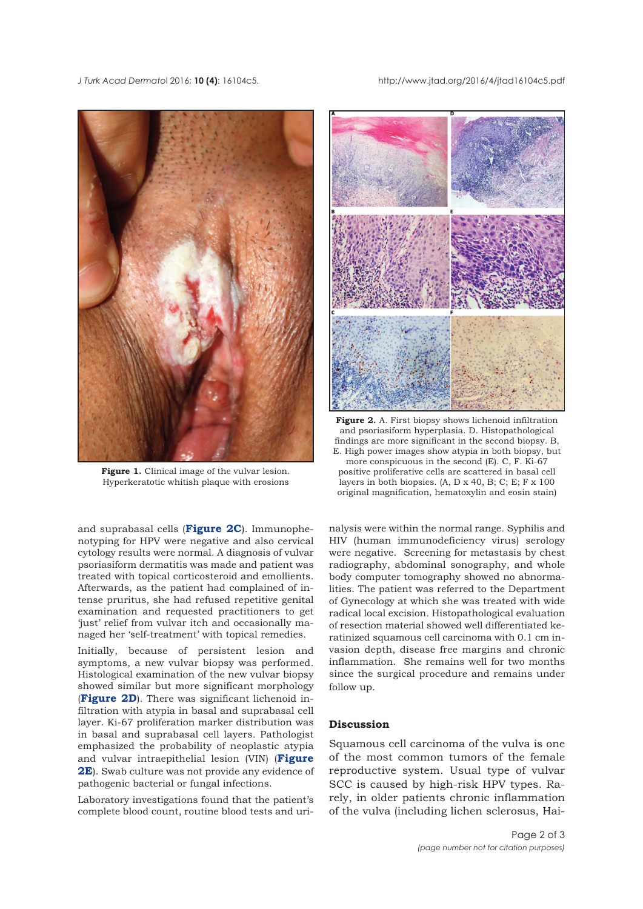<span id="page-1-0"></span>*J Turk Acad Dermato*l 2016; **10 (4)**: 16104c5. http://www.jtad.org/2016/4/jtad16104c5.pdf



Figure 1. Clinical image of the vulvar lesion. Hyperkeratotic whitish plaque with erosions

and suprabasal cells (**Figure 2C**). Immunophenotyping for HPV were negative and also cervical cytology results were normal. A diagnosis of vulvar psoriasiform dermatitis was made and patient was treated with topical corticosteroid and emollients. Afterwards, as the patient had complained of intense pruritus, she had refused repetitive genital examination and requested practitioners to get 'just' relief from vulvar itch and occasionally managed her 'self-treatment' with topical remedies.

Initially, because of persistent lesion and symptoms, a new vulvar biopsy was performed. Histological examination of the new vulvar biopsy showed similar but more significant morphology (**Figure 2D**). There was significant lichenoid infiltration with atypia in basal and suprabasal cell layer. Ki-67 proliferation marker distribution was in basal and suprabasal cell layers. Pathologist emphasized the probability of neoplastic atypia and vulvar intraepithelial lesion (VIN) (**Figure 2E**). Swab culture was not provide any evidence of pathogenic bacterial or fungal infections.

Laboratory investigations found that the patient's complete blood count, routine blood tests and uri-



**Figure 2.** A. First biopsy shows lichenoid infiltration and psoriasiform hyperplasia. D. Histopathological findings are more significant in the second biopsy. B, E. High power images show atypia in both biopsy, but more conspicuous in the second (E). C, F. Ki-67 positive proliferative cells are scattered in basal cell layers in both biopsies.  $(A, D \times 40, B; C; E; F \times 100)$ original magnification, hematoxylin and eosin stain)

nalysis were within the normal range. Syphilis and HIV (human immunodeficiency virus) serology were negative. Screening for metastasis by chest radiography, abdominal sonography, and whole body computer tomography showed no abnormalities. The patient was referred to the Department of Gynecology at which she was treated with wide radical local excision. Histopathological evaluation of resection material showed well differentiated keratinized squamous cell carcinoma with 0.1 cm invasion depth, disease free margins and chronic inflammation. She remains well for two months since the surgical procedure and remains under follow up.

## **Discussion**

Squamous cell carcinoma of the vulva is one of the most common tumors of the female reproductive system. Usual type of vulvar SCC is caused by high-risk HPV types. Rarely, in older patients chronic inflammation of the vulva (including lichen sclerosus, Hai